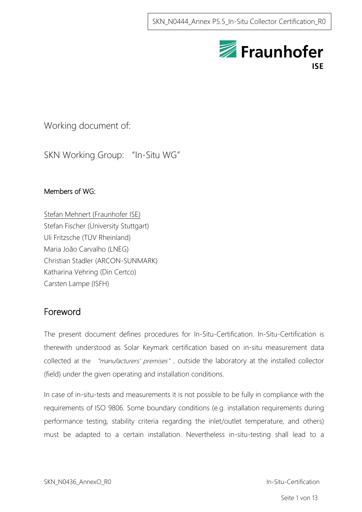

# Working document of:

SKN Working Group: "In-Situ WG"

## Members of WG:

Stefan Mehnert (Fraunhofer ISE) Stefan Fischer (University Stuttgart) Uli Fritzsche (TÜV Rheinland) Maria João Carvalho (LNEG) Christian Stadler (ARCON-SUNMARK) Katharina Vehring (Din Certco) Carsten Lampe (ISFH)

# <span id="page-0-0"></span>Foreword

The present document defines procedures for In-Situ-Certification. In-Situ-Certification is therewith understood as Solar Keymark certification based on in-situ measurement data collected at the "manufacturers' premises", outside the laboratory at the installed collector (field) under the given operating and installation conditions.

In case of in-situ-tests and measurements it is not possible to be fully in compliance with the requirements of ISO 9806. Some boundary conditions (e.g. installation requirements during performance testing, stability criteria regarding the inlet/outlet temperature, and others) must be adapted to a certain installation. Nevertheless in-situ-testing shall lead to a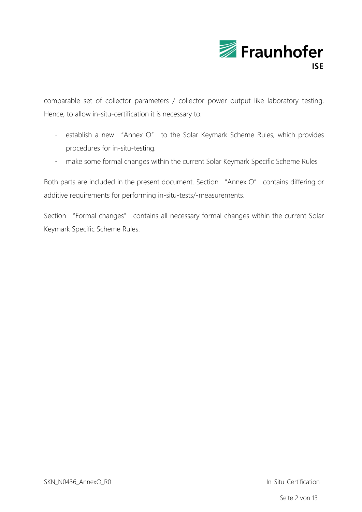

comparable set of collector parameters / collector power output like laboratory testing. Hence, to allow in-situ-certification it is necessary to:

- establish a new "Annex O" to the Solar Keymark Scheme Rules, which provides procedures for in-situ-testing.
- make some formal changes within the current Solar Keymark Specific Scheme Rules

Both parts are included in the present document. Section "Annex O" contains differing or additive requirements for performing in-situ-tests/-measurements.

Section "Formal changes" contains all necessary formal changes within the current Solar Keymark Specific Scheme Rules.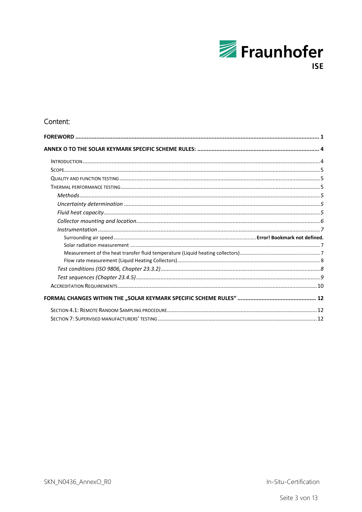

## Content:

In-Situ-Certification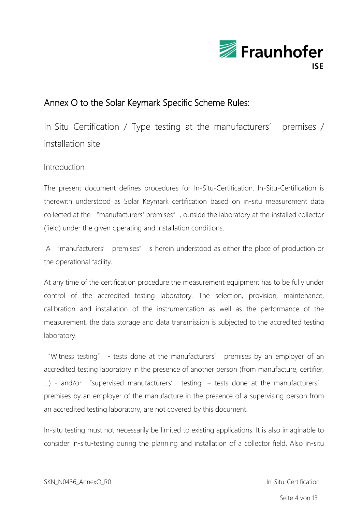

# <span id="page-3-0"></span>Annex O to the Solar Keymark Specific Scheme Rules:

In-Situ Certification / Type testing at the manufacturers' premises / installation site

## <span id="page-3-1"></span>Introduction

The present document defines procedures for In-Situ-Certification. In-Situ-Certification is therewith understood as Solar Keymark certification based on in-situ measurement data collected at the "manufacturers' premises", outside the laboratory at the installed collector (field) under the given operating and installation conditions.

A "manufacturers' premises" is herein understood as either the place of production or the operational facility.

At any time of the certification procedure the measurement equipment has to be fully under control of the accredited testing laboratory. The selection, provision, maintenance, calibration and installation of the instrumentation as well as the performance of the measurement, the data storage and data transmission is subjected to the accredited testing laboratory.

"Witness testing" - tests done at the manufacturers' premises by an employer of an accredited testing laboratory in the presence of another person (from manufacture, certifier, …) - and/or "supervised manufacturers' testing" – tests done at the manufacturers' premises by an employer of the manufacture in the presence of a supervising person from an accredited testing laboratory, are not covered by this document.

In-situ testing must not necessarily be limited to existing applications. It is also imaginable to consider in-situ-testing during the planning and installation of a collector field. Also in-situ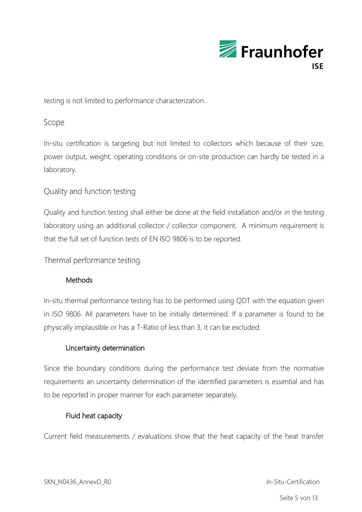

testing is not limited to performance characterization.

### <span id="page-4-0"></span>Scope

In-situ certification is targeting but not limited to collectors which because of their size, power output, weight, operating conditions or on-site production can hardly be tested in a laboratory.

## <span id="page-4-1"></span>Quality and function testing

Quality and function testing shall either be done at the field installation and/or in the testing laboratory using an additional collector / collector component. A minimum requirement is that the full set of function tests of EN ISO 9806 is to be reported.

<span id="page-4-3"></span><span id="page-4-2"></span>Thermal performance testing

## **Methods**

In-situ thermal performance testing has to be performed using QDT with the equation given in ISO 9806. All parameters have to be initially determined. If a parameter is found to be physically implausible or has a T-Ratio of less than 3, it can be excluded.

### <span id="page-4-4"></span>Uncertainty determination

Since the boundary conditions during the performance test deviate from the normative requirements an uncertainty determination of the identified parameters is essential and has to be reported in proper manner for each parameter separately.

### Fluid heat capacity

<span id="page-4-5"></span>Current field measurements / evaluations show that the heat capacity of the heat transfer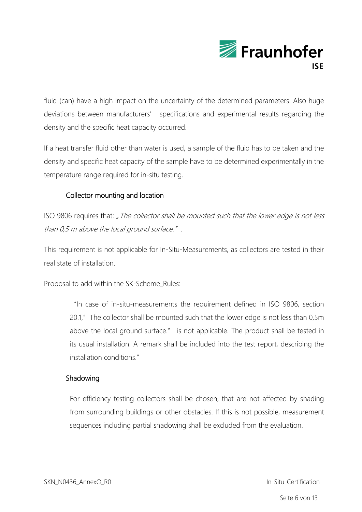

fluid (can) have a high impact on the uncertainty of the determined parameters. Also huge deviations between manufacturers' specifications and experimental results regarding the density and the specific heat capacity occurred.

If a heat transfer fluid other than water is used, a sample of the fluid has to be taken and the density and specific heat capacity of the sample have to be determined experimentally in the temperature range required for in-situ testing.

## Collector mounting and location

<span id="page-5-0"></span>ISO 9806 requires that: " The collector shall be mounted such that the lower edge is not less than 0,5 m above the local ground surface.".

This requirement is not applicable for In-Situ-Measurements, as collectors are tested in their real state of installation.

Proposal to add within the SK-Scheme\_Rules:

"In case of in-situ-measurements the requirement defined in ISO 9806, section 20.1," The collector shall be mounted such that the lower edge is not less than 0,5m above the local ground surface." is not applicable. The product shall be tested in its usual installation. A remark shall be included into the test report, describing the installation conditions."

### Shadowing

For efficiency testing collectors shall be chosen, that are not affected by shading from surrounding buildings or other obstacles. If this is not possible, measurement sequences including partial shadowing shall be excluded from the evaluation.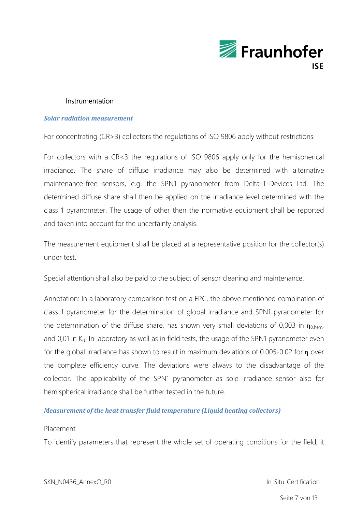

#### Instrumentation

#### <span id="page-6-1"></span><span id="page-6-0"></span>*Solar radiation measurement*

For concentrating (CR>3) collectors the regulations of ISO 9806 apply without restrictions.

For collectors with a CR<3 the regulations of ISO 9806 apply only for the hemispherical irradiance. The share of diffuse irradiance may also be determined with alternative maintenance-free sensors, e.g. the SPN1 pyranometer from Delta-T-Devices Ltd. The determined diffuse share shall then be applied on the irradiance level determined with the class 1 pyranometer. The usage of other then the normative equipment shall be reported and taken into account for the uncertainty analysis.

The measurement equipment shall be placed at a representative position for the collector(s) under test.

Special attention shall also be paid to the subject of sensor cleaning and maintenance.

Annotation: In a laboratory comparison test on a FPC, the above mentioned combination of class 1 pyranometer for the determination of global irradiance and SPN1 pyranometer for the determination of the diffuse share, has shown very small deviations of 0,003 in  $\eta_{0,hem}$ and  $0.01$  in  $K<sub>d</sub>$ . In laboratory as well as in field tests, the usage of the SPN1 pyranometer even for the global irradiance has shown to result in maximum deviations of 0.005-0.02 for η over the complete efficiency curve. The deviations were always to the disadvantage of the collector. The applicability of the SPN1 pyranometer as sole irradiance sensor also for hemispherical irradiance shall be further tested in the future.

#### <span id="page-6-2"></span>*Measurement of the heat transfer fluid temperature (Liquid heating collectors)*

#### Placement

To identify parameters that represent the whole set of operating conditions for the field, it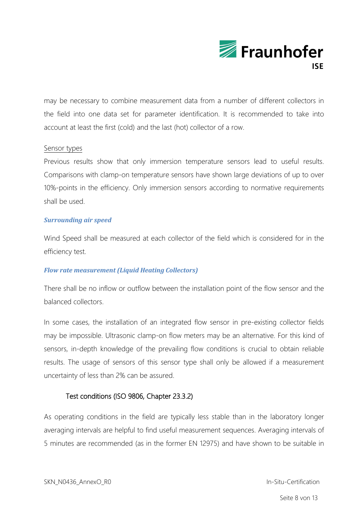

may be necessary to combine measurement data from a number of different collectors in the field into one data set for parameter identification. It is recommended to take into account at least the first (cold) and the last (hot) collector of a row.

#### Sensor types

Previous results show that only immersion temperature sensors lead to useful results. Comparisons with clamp-on temperature sensors have shown large deviations of up to over 10%-points in the efficiency. Only immersion sensors according to normative requirements shall be used.

#### *Surrounding air speed*

Wind Speed shall be measured at each collector of the field which is considered for in the efficiency test.

#### <span id="page-7-0"></span>*Flow rate measurement (Liquid Heating Collectors)*

There shall be no inflow or outflow between the installation point of the flow sensor and the balanced collectors.

In some cases, the installation of an integrated flow sensor in pre-existing collector fields may be impossible. Ultrasonic clamp-on flow meters may be an alternative. For this kind of sensors, in-depth knowledge of the prevailing flow conditions is crucial to obtain reliable results. The usage of sensors of this sensor type shall only be allowed if a measurement uncertainty of less than 2% can be assured.

### <span id="page-7-1"></span>Test conditions (ISO 9806, Chapter 23.3.2)

As operating conditions in the field are typically less stable than in the laboratory longer averaging intervals are helpful to find useful measurement sequences. Averaging intervals of 5 minutes are recommended (as in the former EN 12975) and have shown to be suitable in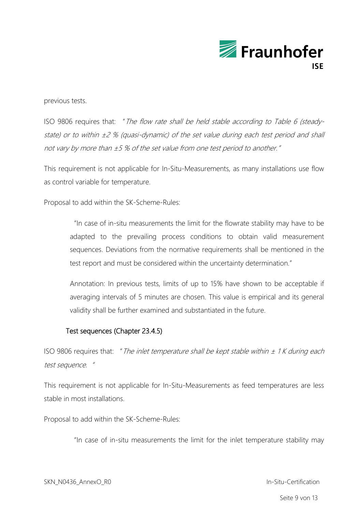

previous tests.

ISO 9806 requires that: "The flow rate shall be held stable according to Table 6 (steadystate) or to within  $\pm 2$  % (quasi-dynamic) of the set value during each test period and shall not vary by more than ±5 % of the set value from one test period to another."

This requirement is not applicable for In-Situ-Measurements, as many installations use flow as control variable for temperature.

Proposal to add within the SK-Scheme-Rules:

"In case of in-situ measurements the limit for the flowrate stability may have to be adapted to the prevailing process conditions to obtain valid measurement sequences. Deviations from the normative requirements shall be mentioned in the test report and must be considered within the uncertainty determination."

Annotation: In previous tests, limits of up to 15% have shown to be acceptable if averaging intervals of 5 minutes are chosen. This value is empirical and its general validity shall be further examined and substantiated in the future.

### Test sequences (Chapter 23.4.5)

<span id="page-8-0"></span>ISO 9806 requires that: " The inlet temperature shall be kept stable within  $\pm$  1K during each test sequence."

This requirement is not applicable for In-Situ-Measurements as feed temperatures are less stable in most installations.

Proposal to add within the SK-Scheme-Rules:

"In case of in-situ measurements the limit for the inlet temperature stability may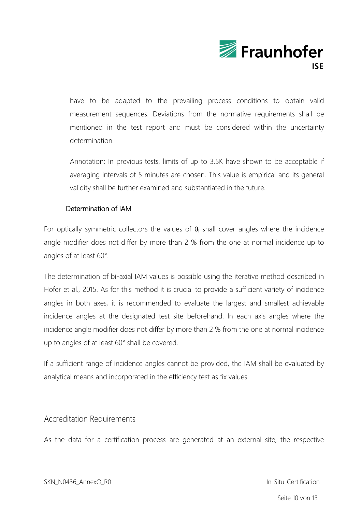

have to be adapted to the prevailing process conditions to obtain valid measurement sequences. Deviations from the normative requirements shall be mentioned in the test report and must be considered within the uncertainty determination.

Annotation: In previous tests, limits of up to 3.5K have shown to be acceptable if averaging intervals of 5 minutes are chosen. This value is empirical and its general validity shall be further examined and substantiated in the future.

### Determination of IAM

For optically symmetric collectors the values of  $\theta_i$  shall cover angles where the incidence angle modifier does not differ by more than 2 % from the one at normal incidence up to angles of at least 60°.

The determination of bi-axial IAM values is possible using the iterative method described in Hofer et al., 2015. As for this method it is crucial to provide a sufficient variety of incidence angles in both axes, it is recommended to evaluate the largest and smallest achievable incidence angles at the designated test site beforehand. In each axis angles where the incidence angle modifier does not differ by more than 2 % from the one at normal incidence up to angles of at least 60° shall be covered.

If a sufficient range of incidence angles cannot be provided, the IAM shall be evaluated by analytical means and incorporated in the efficiency test as fix values.

## <span id="page-9-0"></span>**Accreditation Requirements**

As the data for a certification process are generated at an external site, the respective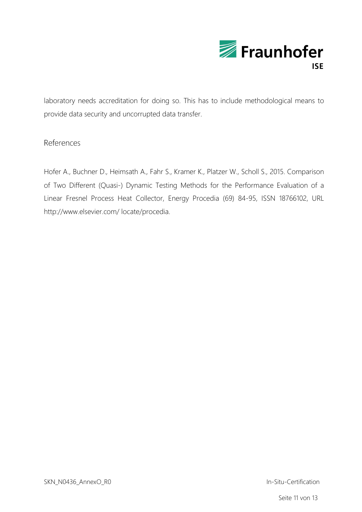

laboratory needs accreditation for doing so. This has to include methodological means to provide data security and uncorrupted data transfer.

## References

Hofer A., Buchner D., Heimsath A., Fahr S., Kramer K., Platzer W., Scholl S., 2015. Comparison of Two Different (Quasi-) Dynamic Testing Methods for the Performance Evaluation of a Linear Fresnel Process Heat Collector, Energy Procedia (69) 84-95, ISSN 18766102, URL http://www.elsevier.com/ locate/procedia.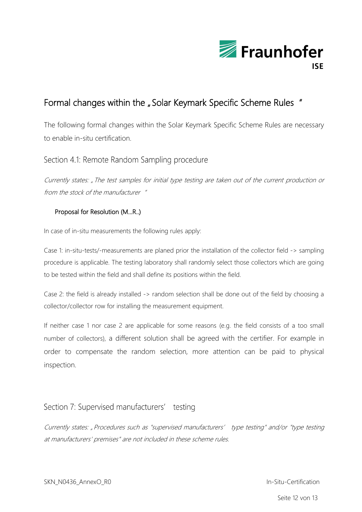

# <span id="page-11-0"></span>Formal changes within the "Solar Keymark Specific Scheme Rules"

The following formal changes within the Solar Keymark Specific Scheme Rules are necessary to enable in-situ certification.

## <span id="page-11-1"></span>Section 4.1: Remote Random Sampling procedure

Currently states: "The test samples for initial type testing are taken out of the current production or from the stock of the manufacturer "

### Proposal for Resolution (M...R..)

In case of in-situ measurements the following rules apply:

Case 1: in-situ-tests/-measurements are planed prior the installation of the collector field -> sampling procedure is applicable. The testing laboratory shall randomly select those collectors which are going to be tested within the field and shall define its positions within the field.

Case 2: the field is already installed -> random selection shall be done out of the field by choosing a collector/collector row for installing the measurement equipment.

If neither case 1 nor case 2 are applicable for some reasons (e.g. the field consists of a too small number of collectors), a different solution shall be agreed with the certifier. For example in order to compensate the random selection, more attention can be paid to physical inspection.

## <span id="page-11-2"></span>Section 7: Supervised manufacturers' testing

Currently states: "Procedures such as "supervised manufacturers' type testing" and/or "type testing at manufacturers' premises" are not included in these scheme rules.